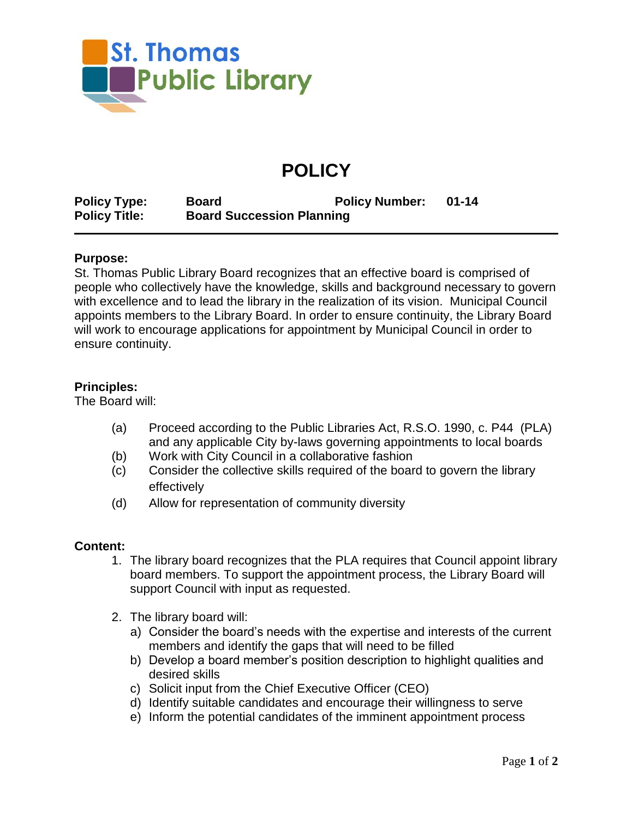

## **POLICY**

**Policy Type: Board Policy Number: 01-14 Policy Title: Board Succession Planning**

## **Purpose:**

St. Thomas Public Library Board recognizes that an effective board is comprised of people who collectively have the knowledge, skills and background necessary to govern with excellence and to lead the library in the realization of its vision. Municipal Council appoints members to the Library Board. In order to ensure continuity, the Library Board will work to encourage applications for appointment by Municipal Council in order to ensure continuity.

## **Principles:**

The Board will:

- (a) Proceed according to the Public Libraries Act, R.S.O. 1990, c. P44 (PLA) and any applicable City by-laws governing appointments to local boards
- (b) Work with City Council in a collaborative fashion
- (c) Consider the collective skills required of the board to govern the library effectively
- (d) Allow for representation of community diversity

## **Content:**

- 1. The library board recognizes that the PLA requires that Council appoint library board members. To support the appointment process, the Library Board will support Council with input as requested.
- 2. The library board will:
	- a) Consider the board's needs with the expertise and interests of the current members and identify the gaps that will need to be filled
	- b) Develop a board member's position description to highlight qualities and desired skills
	- c) Solicit input from the Chief Executive Officer (CEO)
	- d) Identify suitable candidates and encourage their willingness to serve
	- e) Inform the potential candidates of the imminent appointment process